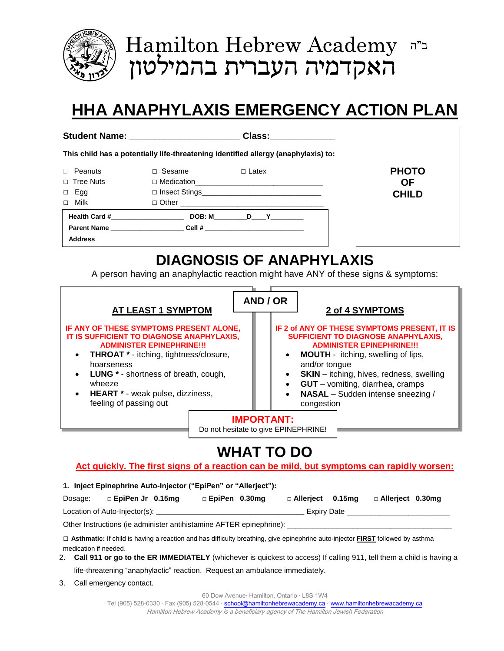

**Hamilton Hebrew Academy**  $\Gamma$ ב"ה האקדמיה העברית בהמילטון

# **HHA ANAPHYLAXIS EMERGENCY ACTION PLAN**

| <b>Student Name:</b> | Class: |
|----------------------|--------|
|----------------------|--------|

**This child has a potentially life-threatening identified allergy (anaphylaxis) to:**

| Peanuts                            | Sesame                                                                                                                                                                                                                              | $\Box$ Latex |  |
|------------------------------------|-------------------------------------------------------------------------------------------------------------------------------------------------------------------------------------------------------------------------------------|--------------|--|
| $\Box$ Tree Nuts                   | □ Medication <u>Next and Times and Times and Times and Times and Times and Times and Times and Times and Times and Times and Times and Times and Times and Times and Times and Times and Times and Times and Times and Times an</u> |              |  |
| Egg                                |                                                                                                                                                                                                                                     |              |  |
| Milk                               |                                                                                                                                                                                                                                     |              |  |
| Health Card #_____________________ |                                                                                                                                                                                                                                     | DOB: M D Y   |  |
|                                    | Parent Name _____________________________Cell # ________________________________                                                                                                                                                    |              |  |
|                                    |                                                                                                                                                                                                                                     |              |  |

**PHOTO OF CHILD**

# **DIAGNOSIS OF ANAPHYLAXIS**

A person having an anaphylactic reaction might have ANY of these signs & symptoms:

| <b>AT LEAST 1 SYMPTOM</b><br>IF ANY OF THESE SYMPTOMS PRESENT ALONE,<br>IT IS SUFFICIENT TO DIAGNOSE ANAPHYLAXIS,<br><b>ADMINISTER EPINEPHRINE!!!</b><br><b>THROAT</b> * - itching, tightness/closure,<br>hoarseness<br><b>LUNG</b> * - shortness of breath, cough,<br>wheeze<br><b>HEART</b> * - weak pulse, dizziness,<br>feeling of passing out | AND / OR<br>2 of 4 SYMPTOMS<br>IF 2 of ANY OF THESE SYMPTOMS PRESENT, IT IS<br><b>SUFFICIENT TO DIAGNOSE ANAPHYLAXIS,</b><br><b>ADMINISTER EPINEPHRINE!!!</b><br><b>MOUTH</b> - itching, swelling of lips,<br>$\bullet$<br>and/or tongue<br><b>SKIN</b> – itching, hives, redness, swelling<br>$\bullet$<br><b>GUT</b> - vomiting, diarrhea, cramps<br>$\bullet$<br>NASAL - Sudden intense sneezing /<br>$\bullet$<br>congestion |
|----------------------------------------------------------------------------------------------------------------------------------------------------------------------------------------------------------------------------------------------------------------------------------------------------------------------------------------------------|----------------------------------------------------------------------------------------------------------------------------------------------------------------------------------------------------------------------------------------------------------------------------------------------------------------------------------------------------------------------------------------------------------------------------------|
|                                                                                                                                                                                                                                                                                                                                                    | <b>IMPORTANT:</b><br>Do not hesitate to give EPINEPHRINE!<br>MII AT TA DZ                                                                                                                                                                                                                                                                                                                                                        |

# **WHAT TO DO**

## **Act quickly. The first signs of a reaction can be mild, but symptoms can rapidly worsen:**

# **1. Inject Epinephrine Auto-Injector ("EpiPen" or "Allerject"):**

| Dosage:                                                             | $\Box$ EpiPen Jr 0.15mg       | □ EpiPen 0.30mg | □ Allerject 0.15mg |  | □ Allerject 0.30mg |
|---------------------------------------------------------------------|-------------------------------|-----------------|--------------------|--|--------------------|
|                                                                     | Location of Auto-Injector(s): |                 | <b>Expiry Date</b> |  |                    |
| Other Instructions (ie administer antihistamine AFTER epinephrine): |                               |                 |                    |  |                    |

**□ Asthmatic:** If child is having a reaction and has difficulty breathing, give epinephrine auto-injector **FIRST** followed by asthma medication if needed.

- 2. **Call 911 or go to the ER IMMEDIATELY** (whichever is quickest to access) If calling 911, tell them a child is having a life-threatening "anaphylactic" reaction. Request an ambulance immediately.
- 3. Call emergency contact.

60 Dow Avenue· Hamilton, Ontario · L8S 1W4

Tel (905) 528-0330 · Fax (905) 528-0544 · [school@hamiltonhebrewacademy.ca](mailto:school@hamiltonhebrewacademy.ca) · [www.hamiltonhebrewacademy.ca](http://www.hamiltonhebrewacademy.ca/) Hamilton Hebrew Academy is a beneficiary agency of The Hamilton Jewish Federation